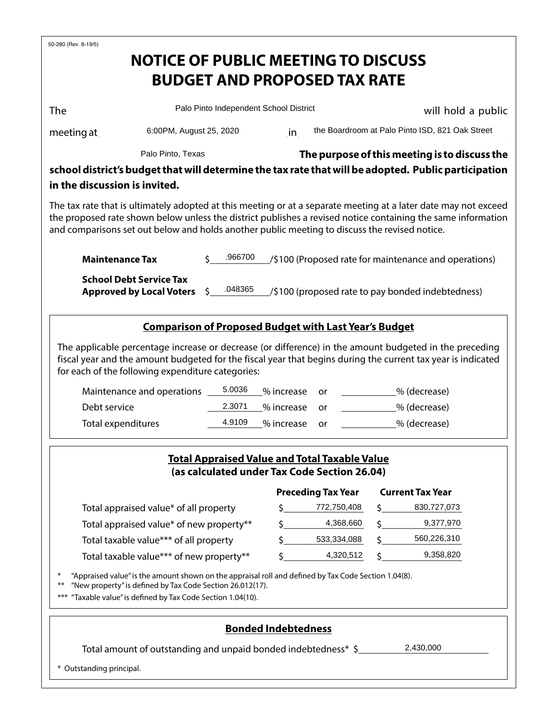| 50-280 (Rev. 8-19/5)                                                                                                                                                                                                                                                                                                             |                                                                                                                                                                                                                               |                                        |                                                                                                      |                                                                                                      |               |                                                 |  |  |  |
|----------------------------------------------------------------------------------------------------------------------------------------------------------------------------------------------------------------------------------------------------------------------------------------------------------------------------------|-------------------------------------------------------------------------------------------------------------------------------------------------------------------------------------------------------------------------------|----------------------------------------|------------------------------------------------------------------------------------------------------|------------------------------------------------------------------------------------------------------|---------------|-------------------------------------------------|--|--|--|
|                                                                                                                                                                                                                                                                                                                                  | <b>NOTICE OF PUBLIC MEETING TO DISCUSS</b>                                                                                                                                                                                    |                                        |                                                                                                      |                                                                                                      |               |                                                 |  |  |  |
|                                                                                                                                                                                                                                                                                                                                  |                                                                                                                                                                                                                               |                                        |                                                                                                      | <b>BUDGET AND PROPOSED TAX RATE</b>                                                                  |               |                                                 |  |  |  |
|                                                                                                                                                                                                                                                                                                                                  |                                                                                                                                                                                                                               |                                        |                                                                                                      |                                                                                                      |               |                                                 |  |  |  |
| The                                                                                                                                                                                                                                                                                                                              |                                                                                                                                                                                                                               | Palo Pinto Independent School District |                                                                                                      |                                                                                                      |               | will hold a public                              |  |  |  |
| meeting at                                                                                                                                                                                                                                                                                                                       | 6:00PM, August 25, 2020                                                                                                                                                                                                       |                                        |                                                                                                      |                                                                                                      |               | the Boardroom at Palo Pinto ISD, 821 Oak Street |  |  |  |
|                                                                                                                                                                                                                                                                                                                                  | Palo Pinto, Texas                                                                                                                                                                                                             |                                        | The purpose of this meeting is to discuss the                                                        |                                                                                                      |               |                                                 |  |  |  |
|                                                                                                                                                                                                                                                                                                                                  |                                                                                                                                                                                                                               |                                        | school district's budget that will determine the tax rate that will be adopted. Public participation |                                                                                                      |               |                                                 |  |  |  |
| in the discussion is invited.                                                                                                                                                                                                                                                                                                    |                                                                                                                                                                                                                               |                                        |                                                                                                      |                                                                                                      |               |                                                 |  |  |  |
| The tax rate that is ultimately adopted at this meeting or at a separate meeting at a later date may not exceed<br>the proposed rate shown below unless the district publishes a revised notice containing the same information<br>and comparisons set out below and holds another public meeting to discuss the revised notice. |                                                                                                                                                                                                                               |                                        |                                                                                                      |                                                                                                      |               |                                                 |  |  |  |
| <b>Maintenance Tax</b>                                                                                                                                                                                                                                                                                                           |                                                                                                                                                                                                                               | .966700                                |                                                                                                      | /\$100 (Proposed rate for maintenance and operations)                                                |               |                                                 |  |  |  |
| <b>School Debt Service Tax</b><br><b>Approved by Local Voters</b>                                                                                                                                                                                                                                                                | .048365<br>Ś.                                                                                                                                                                                                                 |                                        | /\$100 (proposed rate to pay bonded indebtedness)                                                    |                                                                                                      |               |                                                 |  |  |  |
|                                                                                                                                                                                                                                                                                                                                  |                                                                                                                                                                                                                               |                                        |                                                                                                      | <b>Comparison of Proposed Budget with Last Year's Budget</b>                                         |               |                                                 |  |  |  |
| The applicable percentage increase or decrease (or difference) in the amount budgeted in the preceding<br>fiscal year and the amount budgeted for the fiscal year that begins during the current tax year is indicated<br>for each of the following expenditure categories:                                                      |                                                                                                                                                                                                                               |                                        |                                                                                                      |                                                                                                      |               |                                                 |  |  |  |
| Maintenance and operations                                                                                                                                                                                                                                                                                                       |                                                                                                                                                                                                                               | 5.0036                                 | % increase                                                                                           | or                                                                                                   |               | _% (decrease)                                   |  |  |  |
| Debt service                                                                                                                                                                                                                                                                                                                     |                                                                                                                                                                                                                               | 2.3071                                 | % increase                                                                                           | or                                                                                                   | % (decrease)  |                                                 |  |  |  |
|                                                                                                                                                                                                                                                                                                                                  | Total expenditures                                                                                                                                                                                                            |                                        | % increase                                                                                           | or                                                                                                   | _% (decrease) |                                                 |  |  |  |
|                                                                                                                                                                                                                                                                                                                                  |                                                                                                                                                                                                                               |                                        |                                                                                                      | <b>Total Appraised Value and Total Taxable Value</b><br>(as calculated under Tax Code Section 26.04) |               |                                                 |  |  |  |
|                                                                                                                                                                                                                                                                                                                                  |                                                                                                                                                                                                                               |                                        |                                                                                                      | <b>Preceding Tax Year</b>                                                                            |               | <b>Current Tax Year</b>                         |  |  |  |
|                                                                                                                                                                                                                                                                                                                                  | Total appraised value* of all property                                                                                                                                                                                        |                                        |                                                                                                      | 772,750,408                                                                                          |               | 830,727,073                                     |  |  |  |
| Total appraised value* of new property**                                                                                                                                                                                                                                                                                         |                                                                                                                                                                                                                               |                                        | \$.                                                                                                  | 4,368,660                                                                                            |               | 9,377,970                                       |  |  |  |
| Total taxable value*** of all property                                                                                                                                                                                                                                                                                           |                                                                                                                                                                                                                               |                                        | 533,334,088                                                                                          |                                                                                                      | 560,226,310   |                                                 |  |  |  |
| Total taxable value*** of new property**                                                                                                                                                                                                                                                                                         |                                                                                                                                                                                                                               | Ś                                      | 9,358,820<br>4,320,512                                                                               |                                                                                                      |               |                                                 |  |  |  |
| $***$<br>$***$                                                                                                                                                                                                                                                                                                                   | "Appraised value" is the amount shown on the appraisal roll and defined by Tax Code Section 1.04(8).<br>"New property" is defined by Tax Code Section 26.012(17).<br>"Taxable value" is defined by Tax Code Section 1.04(10). |                                        |                                                                                                      |                                                                                                      |               |                                                 |  |  |  |
|                                                                                                                                                                                                                                                                                                                                  |                                                                                                                                                                                                                               |                                        | <b>Bonded Indebtedness</b>                                                                           |                                                                                                      |               |                                                 |  |  |  |
|                                                                                                                                                                                                                                                                                                                                  | 2,430,000<br>Total amount of outstanding and unpaid bonded indebtedness* \$                                                                                                                                                   |                                        |                                                                                                      |                                                                                                      |               |                                                 |  |  |  |

\* Outstanding principal.